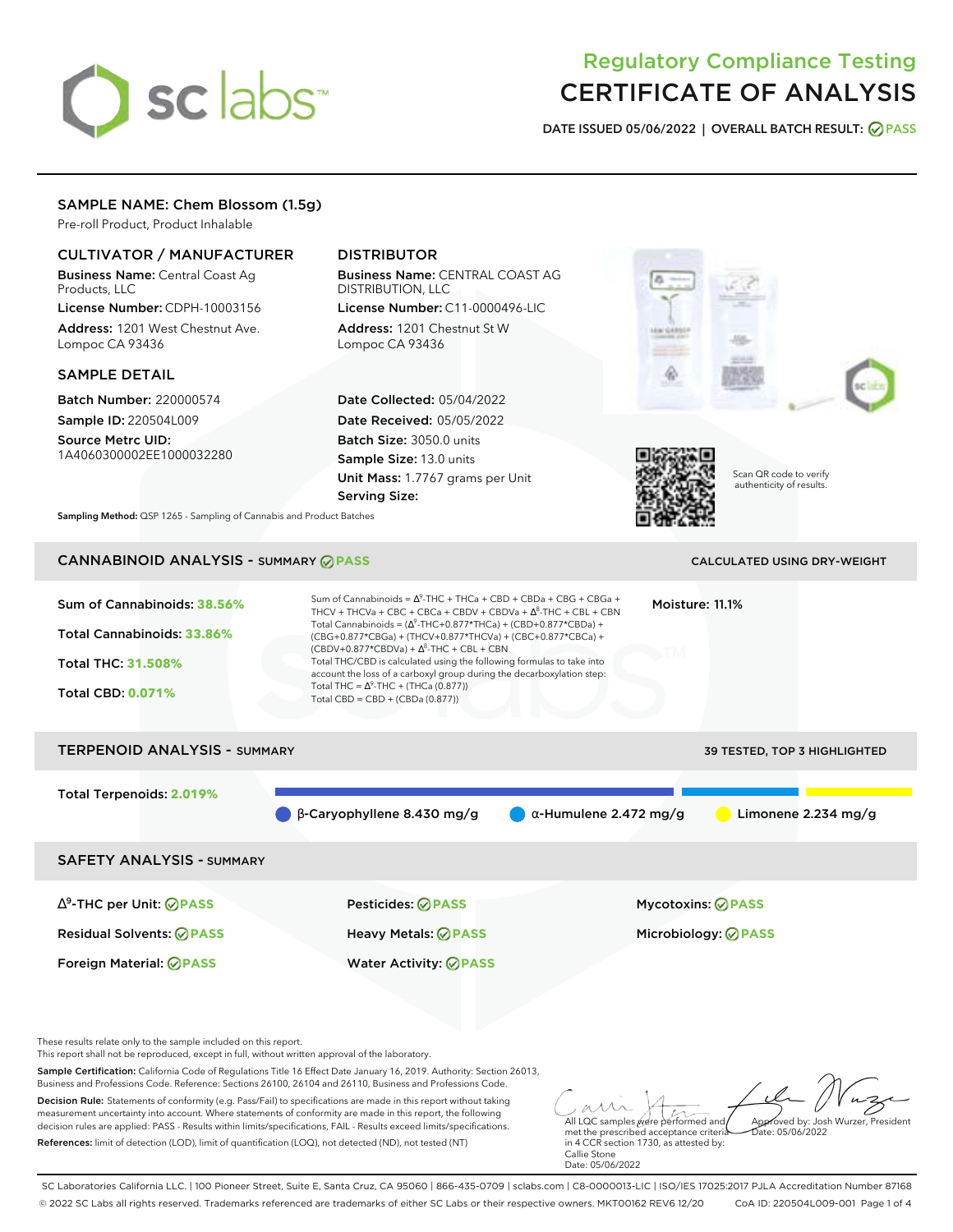# sclabs<sup>\*</sup>

# Regulatory Compliance Testing CERTIFICATE OF ANALYSIS

**DATE ISSUED 05/06/2022 | OVERALL BATCH RESULT: PASS**

# SAMPLE NAME: Chem Blossom (1.5g)

Pre-roll Product, Product Inhalable

# CULTIVATOR / MANUFACTURER

Business Name: Central Coast Ag Products, LLC

License Number: CDPH-10003156 Address: 1201 West Chestnut Ave. Lompoc CA 93436

## SAMPLE DETAIL

Batch Number: 220000574 Sample ID: 220504L009

Source Metrc UID: 1A4060300002EE1000032280

# DISTRIBUTOR

Business Name: CENTRAL COAST AG DISTRIBUTION, LLC License Number: C11-0000496-LIC

Address: 1201 Chestnut St W Lompoc CA 93436

Date Collected: 05/04/2022 Date Received: 05/05/2022 Batch Size: 3050.0 units Sample Size: 13.0 units Unit Mass: 1.7767 grams per Unit Serving Size:





Scan QR code to verify authenticity of results.

**Sampling Method:** QSP 1265 - Sampling of Cannabis and Product Batches

# **CANNABINOID ANALYSIS - SUMMARY @ PASS** CALCULATED USING DRY-WEIGHT

Sum of Cannabinoids: **38.56%** Total Cannabinoids: **33.86%** Total THC: **31.508%** Total CBD: **0.071%** Sum of Cannabinoids =  $\Delta^9$ -THC + THCa + CBD + CBDa + CBG + CBGa + THCV + THCVa + CBC + CBCa + CBDV + CBDVa +  $\Delta^8$ -THC + CBL + CBN Total Cannabinoids = ( $\Delta^9$ -THC+0.877\*THCa) + (CBD+0.877\*CBDa) + (CBG+0.877\*CBGa) + (THCV+0.877\*THCVa) + (CBC+0.877\*CBCa) +  $(CBDV+0.877*CBDVa) + \Delta^8$ -THC + CBL + CBN Total THC/CBD is calculated using the following formulas to take into account the loss of a carboxyl group during the decarboxylation step: Total THC =  $\Delta^9$ -THC + (THCa (0.877)) Total CBD = CBD + (CBDa (0.877)) Moisture: 11.1% TERPENOID ANALYSIS - SUMMARY 39 TESTED, TOP 3 HIGHLIGHTED

Total Terpenoids: **2.019%**

β-Caryophyllene 8.430 mg/g α-Humulene 2.472 mg/g Limonene 2.234 mg/g

SAFETY ANALYSIS - SUMMARY

∆ 9 -THC per Unit: **PASS** Pesticides: **PASS** Mycotoxins: **PASS** Residual Solvents: **PASS** Heavy Metals: **PASS** Microbiology: **PASS**

Foreign Material: **PASS** Water Activity: **PASS**

These results relate only to the sample included on this report.

This report shall not be reproduced, except in full, without written approval of the laboratory.

Sample Certification: California Code of Regulations Title 16 Effect Date January 16, 2019. Authority: Section 26013, Business and Professions Code. Reference: Sections 26100, 26104 and 26110, Business and Professions Code.

Decision Rule: Statements of conformity (e.g. Pass/Fail) to specifications are made in this report without taking measurement uncertainty into account. Where statements of conformity are made in this report, the following decision rules are applied: PASS - Results within limits/specifications, FAIL - Results exceed limits/specifications. References: limit of detection (LOD), limit of quantification (LOQ), not detected (ND), not tested (NT)

All LQC samples were performed and Approved by: Josh Wurzer, President  $hat: 05/06/2022$ 

met the prescribed acceptance criteria in 4 CCR section 1730, as attested by: Callie Stone Date: 05/06/2022

SC Laboratories California LLC. | 100 Pioneer Street, Suite E, Santa Cruz, CA 95060 | 866-435-0709 | sclabs.com | C8-0000013-LIC | ISO/IES 17025:2017 PJLA Accreditation Number 87168 © 2022 SC Labs all rights reserved. Trademarks referenced are trademarks of either SC Labs or their respective owners. MKT00162 REV6 12/20 CoA ID: 220504L009-001 Page 1 of 4